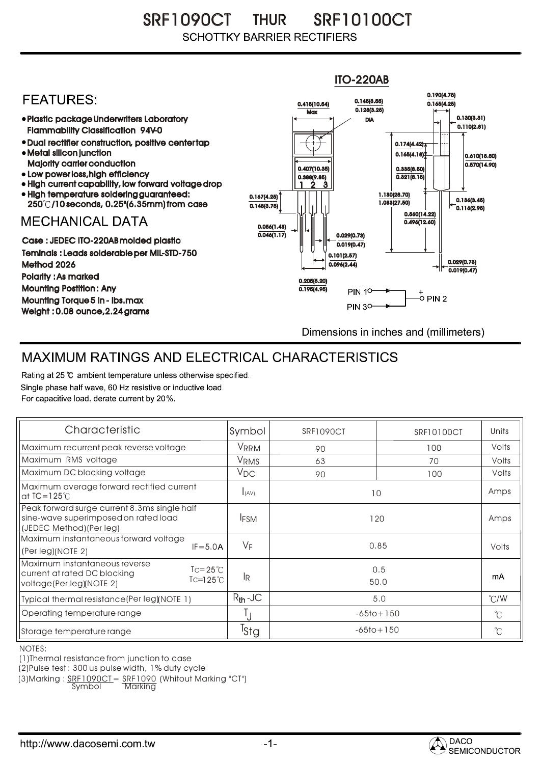SRF1090CT THUR SRF10100CT **SCHOTTKY BARRIER RECTIFIERS** 

## ITO-220AB 0.190(4.75) **FFATURFS:** 0.145(3.55) 0.415(10.54) 0.165(4.25)  $Max \overline{0.128(3.25)}$ Plastic package Underwriters Laboratory 0.130(3.31) DIA  $\overline{0.110(2.81)}$ Flammability Classification 94V-0 Dual rectifier construction, positive center tap 0.174(4.42) Metal silicon junction  $0.165(4.18)$ 0.610(15.50) Majority carrier conduction  $0.570(14.90)$ 0.407(10.35) 0.335(8.50) • Low power loss, high efficiency  $0.321(8.15)$ 0.388(9.85) High current capability, low forward voltage drop 2 1 3 High temperature soldering guaranteed: 1.130(28.70) 0.167(4.25) 250 /10 seconds, 0.25"(6.35mm) from case 1.083(27.50) 0.136(3.45) 0.148(3.75) 0.116(2.95) 0.560(14.22) **MECHANICAL DATA**  $0.496(12.60)$ 0.056(1.43)  $\overline{0.046(1.17)}$   $\rightarrow$   $\|$   $\uparrow$   $\|$   $\|$  0.029(0.73) Case : JEDEC ITO-220AB molded plastic  $0.019(0.47)$ Teminals : Leads solderable per MIL-STD-750 0.101(2.57) 0.029(0.73) Method 2026  $0.096(2.44)$  $0.019(0.47)$ Polarity : As marked 0.205(5.20) Mounting Postition : Any 0.195(4.95) **PIN 10-**+<br>-0 PIN 2 Mounting Torque 5 in - lbs.max **PIN 30-**Weight : 0.08 ounce,2.24 grams Dimensions in inches and (millimeters)

## MAXIMUM RATINGS AND ELECTRICAL CHARACTERISTICS

Rating at 25 °C ambient temperature unless otherwise specified. Single phase half wave, 60 Hz resistive or inductive load. For capacitive load, derate current by 20%.

| Characteristic                                                                                                                                                | Symbol           | SRF1090CT      | SRF10100CT     | Units         |
|---------------------------------------------------------------------------------------------------------------------------------------------------------------|------------------|----------------|----------------|---------------|
| Maximum recurrent peak reverse voltage                                                                                                                        | VRRM             | 90             | 100            | Volts         |
| Maximum RMS voltage                                                                                                                                           | V <sub>RMS</sub> | 63             | 70             | Volts         |
| Maximum DC blocking voltage                                                                                                                                   | $V_{DC}$         | 90             | 100            | Volts         |
| Maximum average forward rectified current<br>at $IC = 125^\circ C$                                                                                            | <b>I</b> (AV)    | 10             |                | Amps          |
| Peak forward surge current 8.3ms single half<br>sine-wave superimposed on rated load<br>(JEDEC Method) (Per leg)                                              | <b>IFSM</b>      | 120            |                | Amps          |
| Maximum instantaneous forward voltage<br>$IF = 5.0A$<br>(Per leg)(NOTE 2)                                                                                     | VF               | 0.85           |                | Volts         |
| Maximum instantaneous reverse<br>$\mathsf{I} \subset = 25^{\circ} \mathsf{C}$<br>current at rated DC blocking<br>$Tc=125^\circ C$<br>voltage(Per leg)(NOTE 2) | IR.              |                | 0.5<br>50.0    |               |
| Typical thermal resistance (Per leg) (NOTE 1)                                                                                                                 | $R_{th}$ -JC     | 5.0            |                | $\degree$ C/W |
| Operating temperature range                                                                                                                                   |                  | $-65$ to + 150 |                | °C            |
| Storage temperature range                                                                                                                                     | <sup>I</sup> Stg |                | $-65$ to + 150 |               |

NOTES:

(1)Thermal resistance from junction to case

(2)Pulse test : 300 us pulse width, 1% duty cycle

(3)Marking : <u>SRF1090CT</u>= <u>SRF1090</u> (Whitout Marking "CT")

Symbol Marking